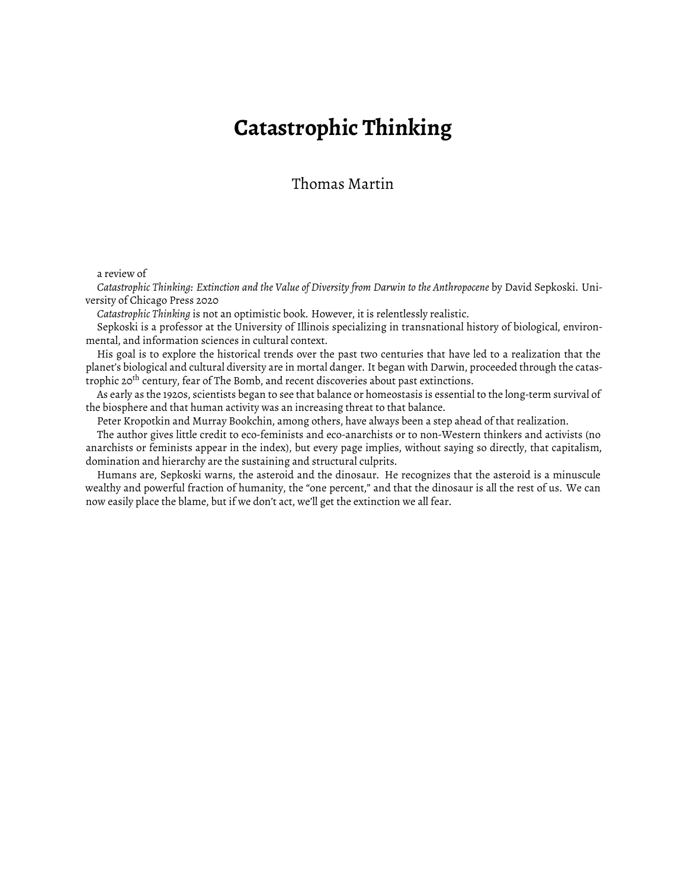## **Catastrophic Thinking**

Thomas Martin

a review of

*Catastrophic Thinking: Extinction and the Value of Diversity from Darwin to the Anthropocene* by David Sepkoski. University of Chicago Press 2020

*Catastrophic Thinking* is not an optimistic book. However, it is relentlessly realistic.

Sepkoski is a professor at the University of Illinois specializing in transnational history of biological, environmental, and information sciences in cultural context.

His goal is to explore the historical trends over the past two centuries that have led to a realization that the planet's biological and cultural diversity are in mortal danger. It began with Darwin, proceeded through the catastrophic 20<sup>th</sup> century, fear of The Bomb, and recent discoveries about past extinctions.

As early as the 1920s, scientists began to see that balance or homeostasis is essential to the long-term survival of the biosphere and that human activity was an increasing threat to that balance.

Peter Kropotkin and Murray Bookchin, among others, have always been a step ahead of that realization.

The author gives little credit to eco-feminists and eco-anarchists or to non-Western thinkers and activists (no anarchists or feminists appear in the index), but every page implies, without saying so directly, that capitalism, domination and hierarchy are the sustaining and structural culprits.

Humans are, Sepkoski warns, the asteroid and the dinosaur. He recognizes that the asteroid is a minuscule wealthy and powerful fraction of humanity, the "one percent," and that the dinosaur is all the rest of us. We can now easily place the blame, but if we don't act, we'll get the extinction we all fear.